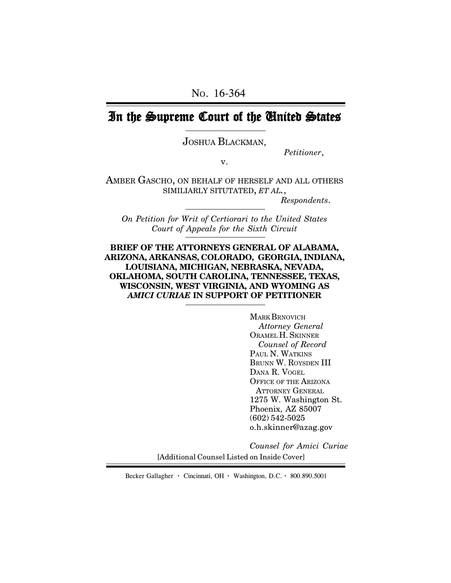# In the Supreme Court of the United States

JOSHUA BLACKMAN,

*Petitioner*,

v.

AMBER GASCHO, ON BEHALF OF HERSELF AND ALL OTHERS SIMILIARLY SITUTATED, *ET AL.*,

*Respondents*.

*On Petition for Writ of Certiorari to the United States Court of Appeals for the Sixth Circuit*

### **BRIEF OF THE ATTORNEYS GENERAL OF ALABAMA, ARIZONA, ARKANSAS, COLORADO, GEORGIA, INDIANA, LOUISIANA, MICHIGAN, NEBRASKA, NEVADA, OKLAHOMA, SOUTH CAROLINA, TENNESSEE, TEXAS, WISCONSIN, WEST VIRGINIA, AND WYOMING AS** *AMICI CURIAE* **IN SUPPORT OF PETITIONER**

MARK BRNOVICH *Attorney General* ORAMEL H. SKINNER *Counsel of Record* PAUL N. WATKINS BRUNN W. ROYSDEN III DANA R. VOGEL OFFICE OF THE ARIZONA ATTORNEY GENERAL 1275 W. Washington St. Phoenix, AZ 85007 (602) 542-5025 o.h.skinner@azag.gov

*Counsel for Amici Curiae*

[Additional Counsel Listed on Inside Cover]

Becker Gallagher **·** Cincinnati, OH **·** Washington, D.C. **·** 800.890.5001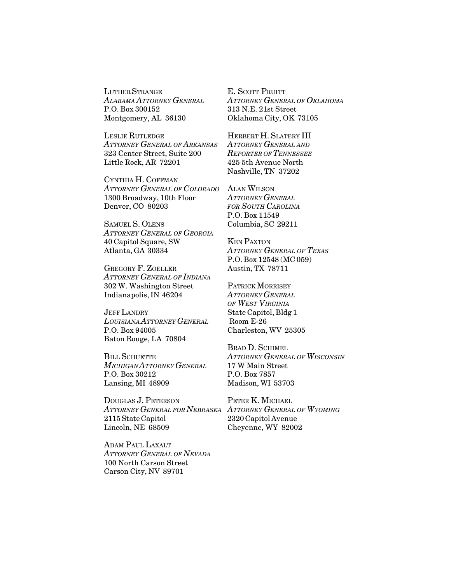LUTHER STRANGE *ALABAMA ATTORNEY GENERAL* P.O. Box 300152 Montgomery, AL 36130

LESLIE RUTLEDGE *ATTORNEY GENERAL OF ARKANSAS* 323 Center Street, Suite 200 Little Rock, AR 72201

CYNTHIA H. COFFMAN *ATTORNEY GENERAL OF COLORADO* 1300 Broadway, 10th Floor Denver, CO 80203

SAMUEL S. OLENS *ATTORNEY GENERAL OF GEORGIA* 40 Capitol Square, SW Atlanta, GA 30334

GREGORY F. ZOELLER *ATTORNEY GENERAL OF INDIANA* 302 W. Washington Street Indianapolis, IN 46204

JEFF LANDRY *LOUISIANA ATTORNEY GENERAL* P.O. Box 94005 Baton Rouge, LA 70804

BILL SCHUETTE *MICHIGAN ATTORNEY GENERAL* P.O. Box 30212 Lansing, MI 48909

DOUGLAS J. PETERSON *ATTORNEY GENERAL FOR NEBRASKA ATTORNEY GENERAL OF WYOMING* 2115 State Capitol Lincoln, NE 68509

ADAM PAUL LAXALT *ATTORNEY GENERAL OF NEVADA* 100 North Carson Street Carson City, NV 89701

E. SCOTT PRUITT *ATTORNEY GENERAL OF OKLAHOMA* 313 N.E. 21st Street Oklahoma City, OK 73105

HERBERT H. SLATERY III *ATTORNEY GENERAL AND REPORTER OF TENNESSEE* 425 5th Avenue North Nashville, TN 37202

ALAN WILSON *ATTORNEY GENERAL FOR SOUTH CAROLINA* P.O. Box 11549 Columbia, SC 29211

KEN PAXTON *ATTORNEY GENERAL OF TEXAS* P.O. Box 12548 (MC 059) Austin, TX 78711

PATRICK MORRISEY *ATTORNEY GENERAL OF WEST VIRGINIA* State Capitol, Bldg 1 Room E-26 Charleston, WV 25305

BRAD D. SCHIMEL *ATTORNEY GENERAL OF WISCONSIN* 17 W Main Street P.O. Box 7857 Madison, WI 53703

PETER K. MICHAEL 2320 Capitol Avenue Cheyenne, WY 82002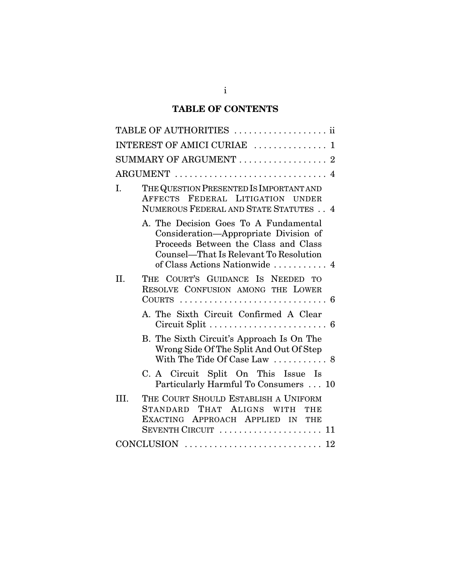# **TABLE OF CONTENTS**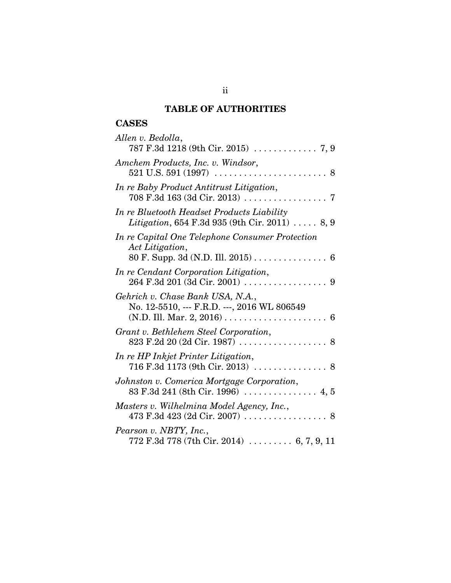# **TABLE OF AUTHORITIES**

# **CASES**

| Allen v. Bedolla,                                                                                                                         |
|-------------------------------------------------------------------------------------------------------------------------------------------|
|                                                                                                                                           |
| Amchem Products, Inc. v. Windsor,                                                                                                         |
| In re Baby Product Antitrust Litigation,                                                                                                  |
| In re Bluetooth Headset Products Liability<br>Litigation, 654 F.3d 935 (9th Cir. 2011)  8, 9                                              |
| In re Capital One Telephone Consumer Protection<br>Act Litigation,<br>80 F. Supp. 3d (N.D. Ill. 2015) 6                                   |
| In re Cendant Corporation Litigation,                                                                                                     |
| Gehrich v. Chase Bank USA, N.A.,<br>No. 12-5510, --- F.R.D. ---, 2016 WL 806549                                                           |
| Grant v. Bethlehem Steel Corporation,                                                                                                     |
| In re HP Inkjet Printer Litigation,                                                                                                       |
| Johnston v. Comerica Mortgage Corporation,                                                                                                |
| Masters v. Wilhelmina Model Agency, Inc.,                                                                                                 |
| Pearson v. NBTY, Inc.,<br>$772 \text{ F.}3d \text{ }778 \text{ } (7\text{th Cir. } 2014) \text{ } \dots \dots \dots \text{ } 6, 7, 9, 11$ |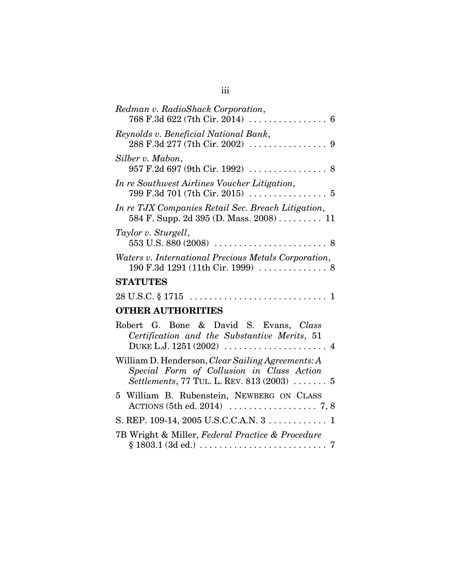| Redman v. RadioShack Corporation,                                                                                                                                            |
|------------------------------------------------------------------------------------------------------------------------------------------------------------------------------|
| Reynolds v. Beneficial National Bank,                                                                                                                                        |
| Silber v. Mabon,<br>957 F.2d 697 (9th Cir. 1992)  8                                                                                                                          |
| In re Southwest Airlines Voucher Litigation,<br>$799 \text{ F.}3d \text{ } 701 \text{ } (7th \text{ Cir. } 2015) \text{ } \dots \dots \dots \dots \dots \dots \dots \dots 5$ |
| In re TJX Companies Retail Sec. Breach Litigation,<br>584 F. Supp. 2d 395 (D. Mass. $2008)$ 11                                                                               |
| Taylor v. Sturgell,<br>553 U.S. 880 (2008) $\ldots \ldots \ldots \ldots \ldots \ldots \ldots \ldots \ldots$                                                                  |
| Waters v. International Precious Metals Corporation,                                                                                                                         |
| <b>STATUTES</b>                                                                                                                                                              |
|                                                                                                                                                                              |
| <b>OTHER AUTHORITIES</b>                                                                                                                                                     |
| Robert G. Bone & David S. Evans, Class<br>Certification and the Substantive Merits, 51                                                                                       |
| William D. Henderson, Clear Sailing Agreements: A<br>Special Form of Collusion in Class Action<br>Settlements, 77 TUL. L. REV. 813 (2003)  5                                 |
| 5 William B. Rubenstein, NEWBERG ON CLASS                                                                                                                                    |
| S. REP. 109-14, 2005 U.S.C.C.A.N. 3 1                                                                                                                                        |
| 7B Wright & Miller, Federal Practice & Procedure<br>$§ 1803.1 (3d ed.) \dots \dots \dots \dots \dots \dots \dots \dots \dots$<br>7                                           |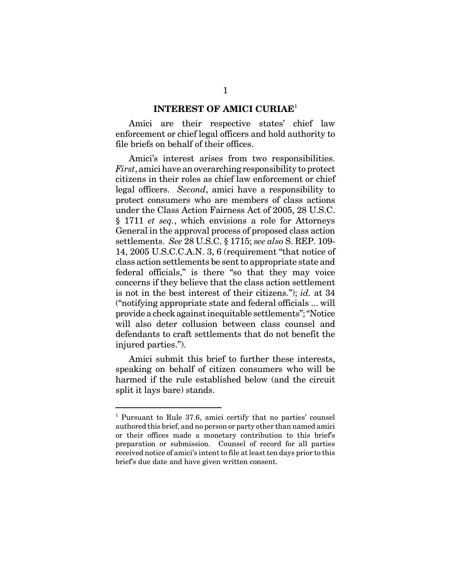#### **INTEREST OF AMICI CURIAE**<sup>1</sup>

Amici are their respective states' chief law enforcement or chief legal officers and hold authority to file briefs on behalf of their offices.

Amici's interest arises from two responsibilities. *First*, amici have an overarching responsibility to protect citizens in their roles as chief law enforcement or chief legal officers. *Second*, amici have a responsibility to protect consumers who are members of class actions under the Class Action Fairness Act of 2005, 28 U.S.C. § 1711 *et seq.*, which envisions a role for Attorneys General in the approval process of proposed class action settlements. *See* 28 U.S.C. § 1715; *see also* S. REP. 109- 14, 2005 U.S.C.C.A.N. 3, 6 (requirement "that notice of class action settlements be sent to appropriate state and federal officials," is there "so that they may voice concerns if they believe that the class action settlement is not in the best interest of their citizens."); *id.* at 34 ("notifying appropriate state and federal officials ... will provide a check against inequitable settlements"; "Notice will also deter collusion between class counsel and defendants to craft settlements that do not benefit the injured parties.").

Amici submit this brief to further these interests, speaking on behalf of citizen consumers who will be harmed if the rule established below (and the circuit split it lays bare) stands.

<sup>&</sup>lt;sup>1</sup> Pursuant to Rule 37.6, amici certify that no parties' counsel authored this brief, and no person or party other than named amici or their offices made a monetary contribution to this brief's preparation or submission. Counsel of record for all parties received notice of amici's intent to file at least ten days prior to this brief's due date and have given written consent.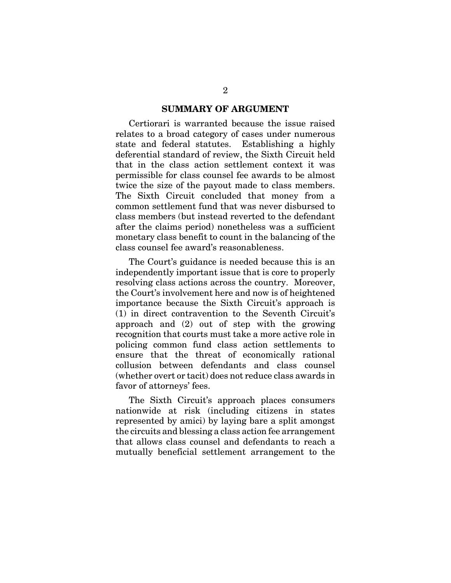#### **SUMMARY OF ARGUMENT**

Certiorari is warranted because the issue raised relates to a broad category of cases under numerous state and federal statutes. Establishing a highly deferential standard of review, the Sixth Circuit held that in the class action settlement context it was permissible for class counsel fee awards to be almost twice the size of the payout made to class members. The Sixth Circuit concluded that money from a common settlement fund that was never disbursed to class members (but instead reverted to the defendant after the claims period) nonetheless was a sufficient monetary class benefit to count in the balancing of the class counsel fee award's reasonableness.

The Court's guidance is needed because this is an independently important issue that is core to properly resolving class actions across the country. Moreover, the Court's involvement here and now is of heightened importance because the Sixth Circuit's approach is (1) in direct contravention to the Seventh Circuit's approach and (2) out of step with the growing recognition that courts must take a more active role in policing common fund class action settlements to ensure that the threat of economically rational collusion between defendants and class counsel (whether overt or tacit) does not reduce class awards in favor of attorneys' fees.

The Sixth Circuit's approach places consumers nationwide at risk (including citizens in states represented by amici) by laying bare a split amongst the circuits and blessing a class action fee arrangement that allows class counsel and defendants to reach a mutually beneficial settlement arrangement to the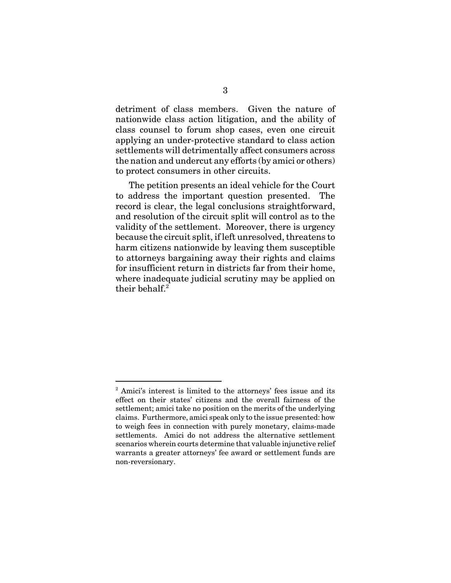detriment of class members. Given the nature of nationwide class action litigation, and the ability of class counsel to forum shop cases, even one circuit applying an under-protective standard to class action settlements will detrimentally affect consumers across the nation and undercut any efforts (by amici or others) to protect consumers in other circuits.

The petition presents an ideal vehicle for the Court to address the important question presented. The record is clear, the legal conclusions straightforward, and resolution of the circuit split will control as to the validity of the settlement. Moreover, there is urgency because the circuit split, if left unresolved, threatens to harm citizens nationwide by leaving them susceptible to attorneys bargaining away their rights and claims for insufficient return in districts far from their home, where inadequate judicial scrutiny may be applied on their behalf. $2$ 

<sup>&</sup>lt;sup>2</sup> Amici's interest is limited to the attorneys' fees issue and its effect on their states' citizens and the overall fairness of the settlement; amici take no position on the merits of the underlying claims. Furthermore, amici speak only to the issue presented: how to weigh fees in connection with purely monetary, claims-made settlements. Amici do not address the alternative settlement scenarios wherein courts determine that valuable injunctive relief warrants a greater attorneys' fee award or settlement funds are non-reversionary.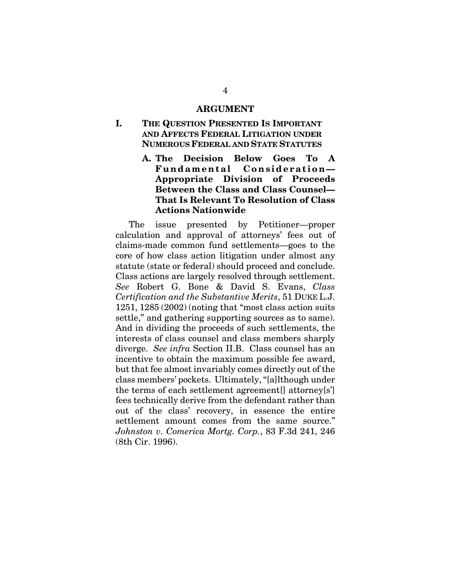#### **ARGUMENT**

## **I. THE QUESTION PRESENTED IS IMPORTANT AND AFFECTS FEDERAL LITIGATION UNDER NUMEROUS FEDERAL AND STATE STATUTES**

**A. The Decision Below Goes To A Fundamental Consideration— Appropriate Division of Proceeds Between the Class and Class Counsel— That Is Relevant To Resolution of Class Actions Nationwide**

The issue presented by Petitioner—proper calculation and approval of attorneys' fees out of claims-made common fund settlements—goes to the core of how class action litigation under almost any statute (state or federal) should proceed and conclude. Class actions are largely resolved through settlement. *See* Robert G. Bone & David S. Evans, *Class Certification and the Substantive Merits*, 51 DUKE L.J. 1251, 1285 (2002) (noting that "most class action suits settle," and gathering supporting sources as to same). And in dividing the proceeds of such settlements, the interests of class counsel and class members sharply diverge. *See infra* Section II.B. Class counsel has an incentive to obtain the maximum possible fee award, but that fee almost invariably comes directly out of the class members' pockets. Ultimately, "[a]lthough under the terms of each settlement agreement[] attorney[s'] fees technically derive from the defendant rather than out of the class' recovery, in essence the entire settlement amount comes from the same source." *Johnston v. Comerica Mortg. Corp.*, 83 F.3d 241, 246 (8th Cir. 1996).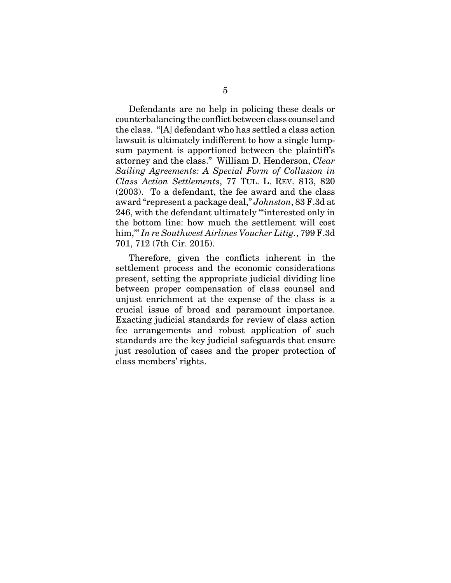Defendants are no help in policing these deals or counterbalancing the conflict between class counsel and the class. "[A] defendant who has settled a class action lawsuit is ultimately indifferent to how a single lumpsum payment is apportioned between the plaintiff's attorney and the class." William D. Henderson, *Clear Sailing Agreements: A Special Form of Collusion in Class Action Settlements*, 77 TUL. L. REV. 813, 820 (2003). To a defendant, the fee award and the class award "represent a package deal," *Johnston*, 83 F.3d at 246, with the defendant ultimately "'interested only in the bottom line: how much the settlement will cost him,'" *In re Southwest Airlines Voucher Litig.*, 799 F.3d 701, 712 (7th Cir. 2015).

Therefore, given the conflicts inherent in the settlement process and the economic considerations present, setting the appropriate judicial dividing line between proper compensation of class counsel and unjust enrichment at the expense of the class is a crucial issue of broad and paramount importance. Exacting judicial standards for review of class action fee arrangements and robust application of such standards are the key judicial safeguards that ensure just resolution of cases and the proper protection of class members' rights.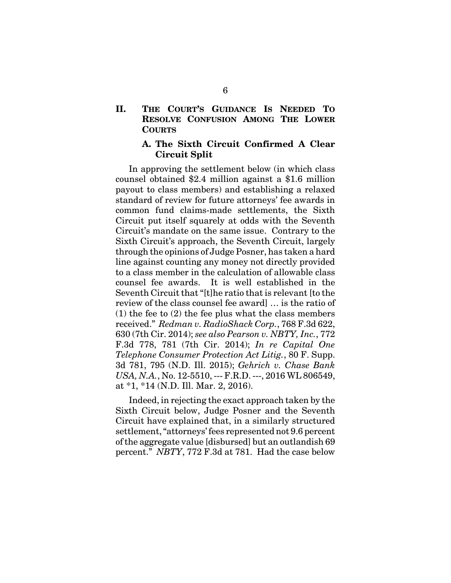**II. THE COURT'S GUIDANCE IS NEEDED TO RESOLVE CONFUSION AMONG THE LOWER COURTS**

#### **A. The Sixth Circuit Confirmed A Clear Circuit Split**

In approving the settlement below (in which class counsel obtained \$2.4 million against a \$1.6 million payout to class members) and establishing a relaxed standard of review for future attorneys' fee awards in common fund claims-made settlements, the Sixth Circuit put itself squarely at odds with the Seventh Circuit's mandate on the same issue. Contrary to the Sixth Circuit's approach, the Seventh Circuit, largely through the opinions of Judge Posner, has taken a hard line against counting any money not directly provided to a class member in the calculation of allowable class counsel fee awards. It is well established in the Seventh Circuit that "[t]he ratio that is relevant [to the review of the class counsel fee award] … is the ratio of (1) the fee to (2) the fee plus what the class members received." *Redman v. RadioShack Corp.*, 768 F.3d 622, 630 (7th Cir. 2014); *see also Pearson v. NBTY, Inc.*, 772 F.3d 778, 781 (7th Cir. 2014); *In re Capital One Telephone Consumer Protection Act Litig.*, 80 F. Supp. 3d 781, 795 (N.D. Ill. 2015); *Gehrich v. Chase Bank USA, N.A.*, No. 12-5510, --- F.R.D. ---, 2016 WL 806549, at \*1, \*14 (N.D. Ill. Mar. 2, 2016).

Indeed, in rejecting the exact approach taken by the Sixth Circuit below, Judge Posner and the Seventh Circuit have explained that, in a similarly structured settlement, "attorneys' fees represented not 9.6 percent of the aggregate value [disbursed] but an outlandish 69 percent." *NBTY*, 772 F.3d at 781. Had the case below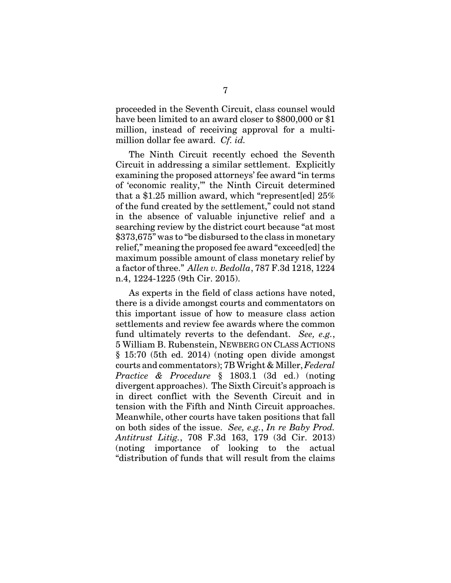proceeded in the Seventh Circuit, class counsel would have been limited to an award closer to \$800,000 or \$1 million, instead of receiving approval for a multimillion dollar fee award. *Cf. id.*

The Ninth Circuit recently echoed the Seventh Circuit in addressing a similar settlement. Explicitly examining the proposed attorneys' fee award "in terms of 'economic reality,'" the Ninth Circuit determined that a \$1.25 million award, which "represent[ed] 25% of the fund created by the settlement," could not stand in the absence of valuable injunctive relief and a searching review by the district court because "at most \$373,675" was to "be disbursed to the class in monetary relief," meaning the proposed fee award "exceed[ed] the maximum possible amount of class monetary relief by a factor of three." *Allen v. Bedolla*, 787 F.3d 1218, 1224 n.4, 1224-1225 (9th Cir. 2015).

As experts in the field of class actions have noted, there is a divide amongst courts and commentators on this important issue of how to measure class action settlements and review fee awards where the common fund ultimately reverts to the defendant. *See, e.g.*, 5 William B. Rubenstein, NEWBERG ON CLASS ACTIONS § 15:70 (5th ed. 2014) (noting open divide amongst courts and commentators); 7B Wright & Miller, *Federal Practice & Procedure* § 1803.1 (3d ed.) (noting divergent approaches). The Sixth Circuit's approach is in direct conflict with the Seventh Circuit and in tension with the Fifth and Ninth Circuit approaches. Meanwhile, other courts have taken positions that fall on both sides of the issue. *See, e.g.*, *In re Baby Prod. Antitrust Litig.*, 708 F.3d 163, 179 (3d Cir. 2013) (noting importance of looking to the actual "distribution of funds that will result from the claims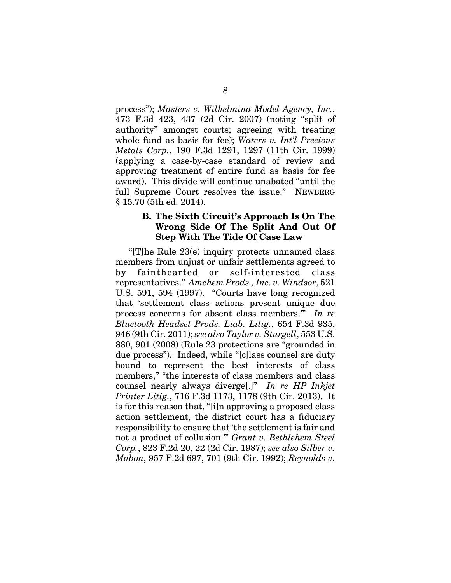process"); *Masters v. Wilhelmina Model Agency, Inc.*, 473 F.3d 423, 437 (2d Cir. 2007) (noting "split of authority" amongst courts; agreeing with treating whole fund as basis for fee); *Waters v. Int'l Precious Metals Corp.*, 190 F.3d 1291, 1297 (11th Cir. 1999) (applying a case-by-case standard of review and approving treatment of entire fund as basis for fee award). This divide will continue unabated "until the full Supreme Court resolves the issue." NEWBERG § 15.70 (5th ed. 2014).

### **B. The Sixth Circuit's Approach Is On The Wrong Side Of The Split And Out Of Step With The Tide Of Case Law**

"[T]he Rule 23(e) inquiry protects unnamed class members from unjust or unfair settlements agreed to by fainthearted or self-interested class representatives." *Amchem Prods., Inc. v. Windsor*, 521 U.S. 591, 594 (1997). "Courts have long recognized that 'settlement class actions present unique due process concerns for absent class members.'" *In re Bluetooth Headset Prods. Liab. Litig.*, 654 F.3d 935, 946 (9th Cir. 2011); *see also Taylor v. Sturgell*, 553 U.S. 880, 901 (2008) (Rule 23 protections are "grounded in due process"). Indeed, while "[c]lass counsel are duty bound to represent the best interests of class members," "the interests of class members and class counsel nearly always diverge[.]" *In re HP Inkjet Printer Litig.*, 716 F.3d 1173, 1178 (9th Cir. 2013). It is for this reason that, "[i]n approving a proposed class action settlement, the district court has a fiduciary responsibility to ensure that 'the settlement is fair and not a product of collusion.'" *Grant v. Bethlehem Steel Corp.*, 823 F.2d 20, 22 (2d Cir. 1987); *see also Silber v. Mabon*, 957 F.2d 697, 701 (9th Cir. 1992); *Reynolds v.*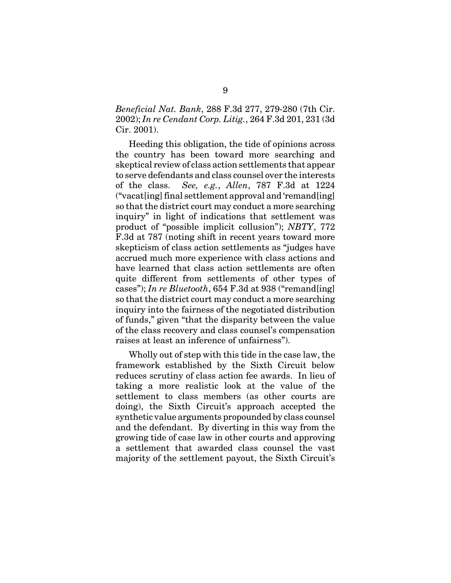*Beneficial Nat. Bank*, 288 F.3d 277, 279-280 (7th Cir. 2002); *In re Cendant Corp. Litig.*, 264 F.3d 201, 231 (3d Cir. 2001).

Heeding this obligation, the tide of opinions across the country has been toward more searching and skeptical review of class action settlements that appear to serve defendants and class counsel over the interests of the class. *See, e.g.*, *Allen*, 787 F.3d at 1224 ("vacat[ing] final settlement approval and 'remand[ing] so that the district court may conduct a more searching inquiry" in light of indications that settlement was product of "possible implicit collusion"); *NBTY*, 772 F.3d at 787 (noting shift in recent years toward more skepticism of class action settlements as "judges have accrued much more experience with class actions and have learned that class action settlements are often quite different from settlements of other types of cases"); *In re Bluetooth*, 654 F.3d at 938 ("remand[ing] so that the district court may conduct a more searching inquiry into the fairness of the negotiated distribution of funds," given "that the disparity between the value of the class recovery and class counsel's compensation raises at least an inference of unfairness").

Wholly out of step with this tide in the case law, the framework established by the Sixth Circuit below reduces scrutiny of class action fee awards. In lieu of taking a more realistic look at the value of the settlement to class members (as other courts are doing), the Sixth Circuit's approach accepted the synthetic value arguments propounded by class counsel and the defendant. By diverting in this way from the growing tide of case law in other courts and approving a settlement that awarded class counsel the vast majority of the settlement payout, the Sixth Circuit's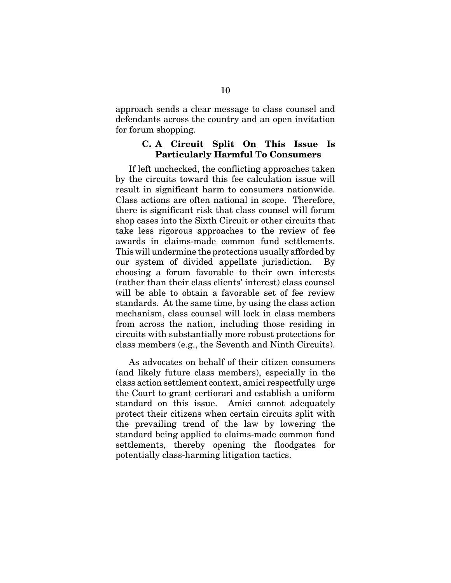approach sends a clear message to class counsel and defendants across the country and an open invitation for forum shopping.

#### **C. A Circuit Split On This Issue Is Particularly Harmful To Consumers**

If left unchecked, the conflicting approaches taken by the circuits toward this fee calculation issue will result in significant harm to consumers nationwide. Class actions are often national in scope. Therefore, there is significant risk that class counsel will forum shop cases into the Sixth Circuit or other circuits that take less rigorous approaches to the review of fee awards in claims-made common fund settlements. This will undermine the protections usually afforded by our system of divided appellate jurisdiction. choosing a forum favorable to their own interests (rather than their class clients' interest) class counsel will be able to obtain a favorable set of fee review standards. At the same time, by using the class action mechanism, class counsel will lock in class members from across the nation, including those residing in circuits with substantially more robust protections for class members (e.g., the Seventh and Ninth Circuits).

 As advocates on behalf of their citizen consumers (and likely future class members), especially in the class action settlement context, amici respectfully urge the Court to grant certiorari and establish a uniform standard on this issue. Amici cannot adequately protect their citizens when certain circuits split with the prevailing trend of the law by lowering the standard being applied to claims-made common fund settlements, thereby opening the floodgates for potentially class-harming litigation tactics.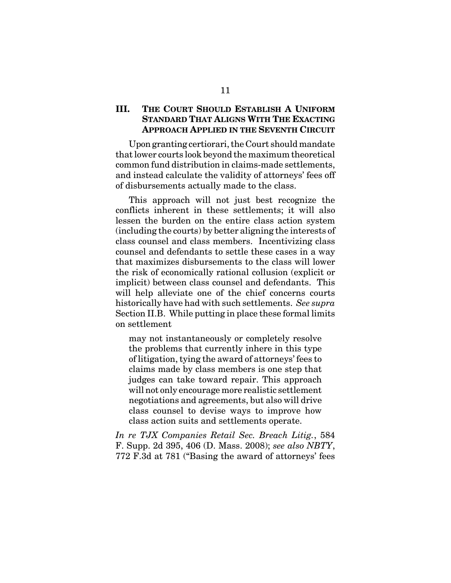### **III. THE COURT SHOULD ESTABLISH A UNIFORM STANDARD THAT ALIGNS WITH THE EXACTING APPROACH APPLIED IN THE SEVENTH CIRCUIT**

Upon granting certiorari, the Court should mandate that lower courts look beyond the maximum theoretical common fund distribution in claims-made settlements, and instead calculate the validity of attorneys' fees off of disbursements actually made to the class.

This approach will not just best recognize the conflicts inherent in these settlements; it will also lessen the burden on the entire class action system (including the courts) by better aligning the interests of class counsel and class members. Incentivizing class counsel and defendants to settle these cases in a way that maximizes disbursements to the class will lower the risk of economically rational collusion (explicit or implicit) between class counsel and defendants. This will help alleviate one of the chief concerns courts historically have had with such settlements. *See supra* Section II.B. While putting in place these formal limits on settlement

may not instantaneously or completely resolve the problems that currently inhere in this type of litigation, tying the award of attorneys' fees to claims made by class members is one step that judges can take toward repair. This approach will not only encourage more realistic settlement negotiations and agreements, but also will drive class counsel to devise ways to improve how class action suits and settlements operate.

*In re TJX Companies Retail Sec. Breach Litig.*, 584 F. Supp. 2d 395, 406 (D. Mass. 2008); *see also NBTY*, 772 F.3d at 781 ("Basing the award of attorneys' fees